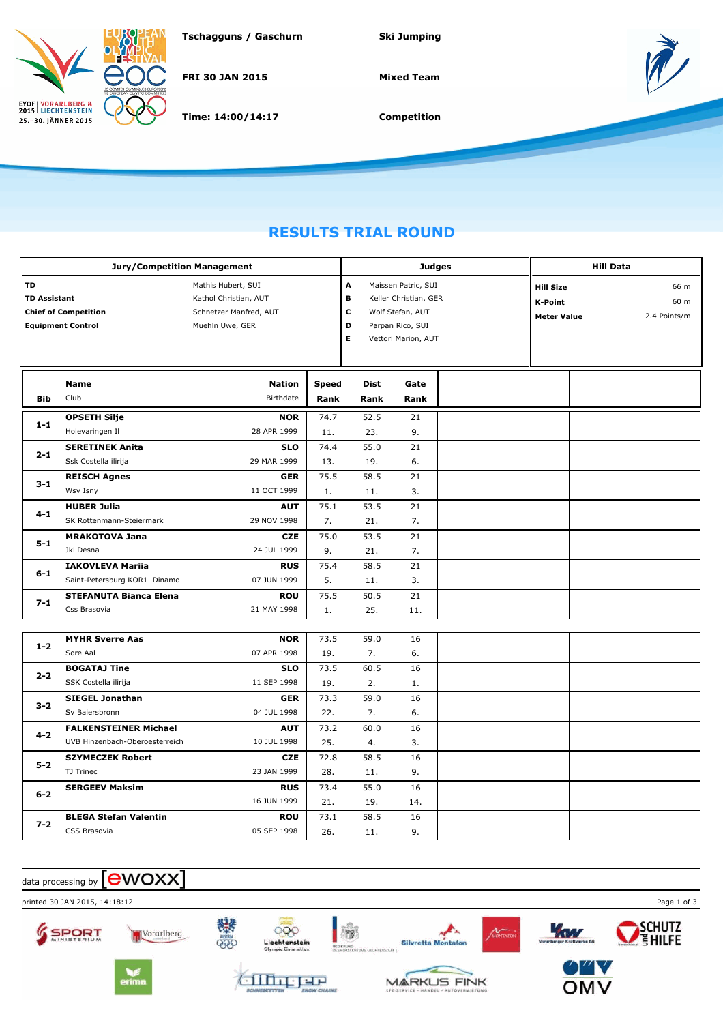

**Tschagguns / Gaschurn Ski Jumping**

**FRI 30 JAN 2015**

**Time: 14:00/14:17**

**Mixed Team**



**Competition**

## **RESULTS TRIAL ROUND**

|                           | <b>Jury/Competition Management</b>                      |                                                                                          |              | <b>Judges</b>          | <b>Hill Data</b>                                                                                            |                                                          |  |                              |
|---------------------------|---------------------------------------------------------|------------------------------------------------------------------------------------------|--------------|------------------------|-------------------------------------------------------------------------------------------------------------|----------------------------------------------------------|--|------------------------------|
| TD<br><b>TD Assistant</b> | <b>Chief of Competition</b><br><b>Equipment Control</b> | Mathis Hubert, SUI<br>Kathol Christian, AUT<br>Schnetzer Manfred, AUT<br>Muehln Uwe, GER |              | A<br>в<br>c<br>D<br>E. | Maissen Patric, SUI<br>Keller Christian, GER<br>Wolf Stefan, AUT<br>Parpan Rico, SUI<br>Vettori Marion, AUT | <b>Hill Size</b><br><b>K-Point</b><br><b>Meter Value</b> |  | 66 m<br>60 m<br>2.4 Points/m |
|                           | Name                                                    | <b>Nation</b>                                                                            | <b>Speed</b> | <b>Dist</b>            | Gate                                                                                                        |                                                          |  |                              |
| <b>Bib</b>                | Club                                                    | Birthdate                                                                                | Rank         | Rank                   | Rank                                                                                                        |                                                          |  |                              |
| $1 - 1$                   | <b>OPSETH Silje</b>                                     | <b>NOR</b>                                                                               | 74.7         | 52.5                   | 21                                                                                                          |                                                          |  |                              |
|                           | Holevaringen Il                                         | 28 APR 1999                                                                              | 11.          | 23.                    | 9.                                                                                                          |                                                          |  |                              |
| $2 - 1$                   | <b>SERETINEK Anita</b>                                  | <b>SLO</b>                                                                               | 74.4         | 55.0                   | 21                                                                                                          |                                                          |  |                              |
|                           | Ssk Costella ilirija                                    | 29 MAR 1999                                                                              | 13.          | 19.                    | 6.                                                                                                          |                                                          |  |                              |
| $3 - 1$                   | <b>REISCH Agnes</b>                                     | <b>GER</b>                                                                               | 75.5         | 58.5                   | 21                                                                                                          |                                                          |  |                              |
|                           | Wsv Isny                                                | 11 OCT 1999                                                                              | 1.           | 11.                    | 3.                                                                                                          |                                                          |  |                              |
| $4 - 1$                   | <b>HUBER Julia</b>                                      | <b>AUT</b>                                                                               | 75.1         | 53.5                   | 21                                                                                                          |                                                          |  |                              |
|                           | SK Rottenmann-Steiermark                                | 29 NOV 1998                                                                              | 7.           | 21.                    | 7.                                                                                                          |                                                          |  |                              |
| $5 - 1$                   | <b>MRAKOTOVA Jana</b><br>Jkl Desna                      | <b>CZE</b><br>24 JUL 1999                                                                | 75.0<br>9.   | 53.5<br>21.            | 21<br>7.                                                                                                    |                                                          |  |                              |
|                           | <b>IAKOVLEVA Mariia</b>                                 | <b>RUS</b>                                                                               | 75.4         | 58.5                   | 21                                                                                                          |                                                          |  |                              |
| 6-1                       | Saint-Petersburg KOR1 Dinamo                            | 07 JUN 1999                                                                              | 5.           | 11.                    | 3.                                                                                                          |                                                          |  |                              |
|                           | <b>STEFANUTA Bianca Elena</b>                           | <b>ROU</b>                                                                               | 75.5         | 50.5                   | 21                                                                                                          |                                                          |  |                              |
| $7 - 1$                   | Css Brasovia                                            | 21 MAY 1998                                                                              | 1.           | 25.                    | 11.                                                                                                         |                                                          |  |                              |
|                           |                                                         |                                                                                          |              |                        |                                                                                                             |                                                          |  |                              |
| $1 - 2$                   | <b>MYHR Sverre Aas</b>                                  | <b>NOR</b>                                                                               | 73.5         | 59.0                   | 16                                                                                                          |                                                          |  |                              |
|                           | Sore Aal                                                | 07 APR 1998                                                                              | 19.          | 7.                     | 6.                                                                                                          |                                                          |  |                              |
| $2 - 2$                   | <b>BOGATAJ Tine</b>                                     | <b>SLO</b>                                                                               | 73.5         | 60.5                   | 16                                                                                                          |                                                          |  |                              |
|                           | SSK Costella ilirija                                    | 11 SEP 1998                                                                              | 19.          | 2.                     | 1.                                                                                                          |                                                          |  |                              |
| $3 - 2$                   | <b>SIEGEL Jonathan</b>                                  | <b>GER</b>                                                                               | 73.3         | 59.0                   | 16                                                                                                          |                                                          |  |                              |
|                           | Sv Baiersbronn                                          | 04 JUL 1998                                                                              | 22.          | 7.                     | 6.                                                                                                          |                                                          |  |                              |
| $4 - 2$                   | <b>FALKENSTEINER Michael</b>                            | <b>AUT</b>                                                                               | 73.2         | 60.0                   | 16                                                                                                          |                                                          |  |                              |
|                           | UVB Hinzenbach-Oberoesterreich                          | 10 JUL 1998                                                                              | 25.          | 4.                     | 3.                                                                                                          |                                                          |  |                              |
| $5 - 2$                   | <b>SZYMECZEK Robert</b>                                 | <b>CZE</b>                                                                               | 72.8         | 58.5                   | 16                                                                                                          |                                                          |  |                              |
|                           | TJ Trinec                                               | 23 JAN 1999                                                                              | 28.          | 11.                    | 9.                                                                                                          |                                                          |  |                              |
| $6 - 2$                   | <b>SERGEEV Maksim</b>                                   | <b>RUS</b>                                                                               | 73.4         | 55.0                   | 16                                                                                                          |                                                          |  |                              |
|                           |                                                         | 16 JUN 1999                                                                              | 21.          | 19.                    | 14.                                                                                                         |                                                          |  |                              |
| $7 - 2$                   | <b>BLEGA Stefan Valentin</b>                            | <b>ROU</b>                                                                               | 73.1         | 58.5                   | 16                                                                                                          |                                                          |  |                              |
|                           | CSS Brasovia                                            | 05 SEP 1998                                                                              | 26.          | 11.                    | 9.                                                                                                          |                                                          |  |                              |

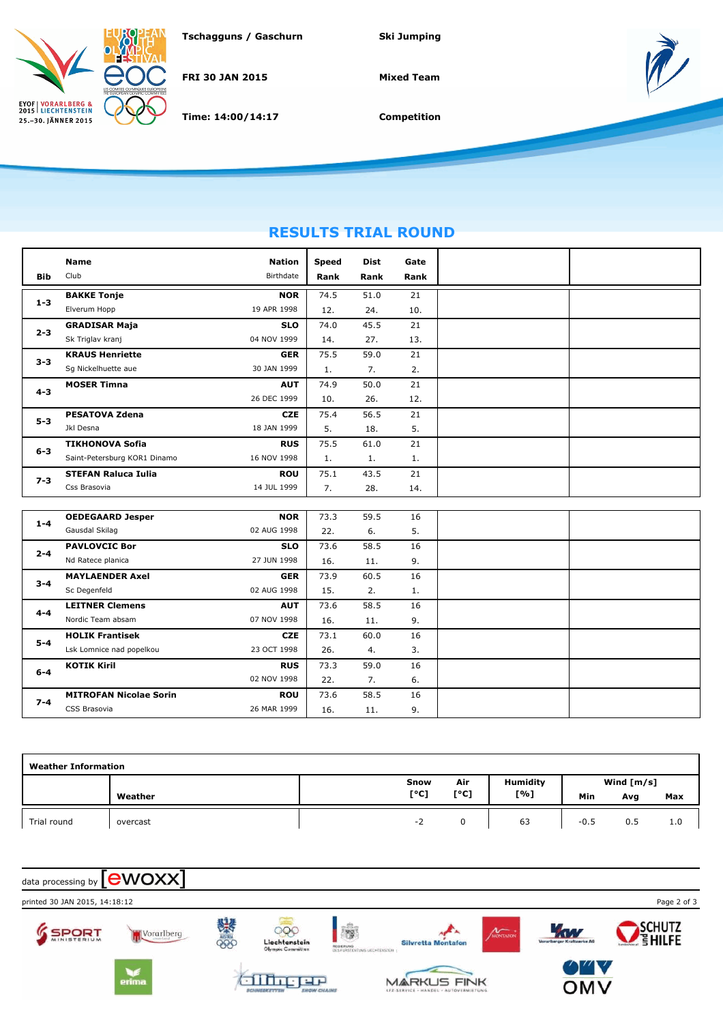

**Tschagguns / Gaschurn Ski Jumping**

**FRI 30 JAN 2015**

**Time: 14:00/14:17**

**Mixed Team**



**Competition**

## **RESULTS TRIAL ROUND**

|         | <b>Name</b>                  | <b>Nation</b> | Speed | Dist | Gate |
|---------|------------------------------|---------------|-------|------|------|
| Bib     | Club                         | Birthdate     | Rank  | Rank | Rank |
| $1 - 3$ | <b>BAKKE Tonje</b>           | <b>NOR</b>    | 74.5  | 51.0 | 21   |
|         | Elverum Hopp                 | 19 APR 1998   | 12.   | 24.  | 10.  |
| $2 - 3$ | <b>GRADISAR Maja</b>         | <b>SLO</b>    | 74.0  | 45.5 | 21   |
|         | Sk Triglav kranj             | 04 NOV 1999   | 14.   | 27.  | 13.  |
| $3 - 3$ | <b>KRAUS Henriette</b>       | <b>GER</b>    | 75.5  | 59.0 | 21   |
|         | Sg Nickelhuette aue          | 30 JAN 1999   | 1.    | 7.   | 2.   |
| $4 - 3$ | <b>MOSER Timna</b>           | <b>AUT</b>    | 74.9  | 50.0 | 21   |
|         |                              | 26 DEC 1999   | 10.   | 26.  | 12.  |
| $5 - 3$ | <b>PESATOVA Zdena</b>        | <b>CZE</b>    | 75.4  | 56.5 | 21   |
|         | Jkl Desna                    | 18 JAN 1999   | 5.    | 18.  | 5.   |
| $6 - 3$ | <b>TIKHONOVA Sofia</b>       | <b>RUS</b>    | 75.5  | 61.0 | 21   |
|         | Saint-Petersburg KOR1 Dinamo | 16 NOV 1998   | 1.    | 1.   | 1.   |
| $7 - 3$ | <b>STEFAN Raluca Iulia</b>   | <b>ROU</b>    | 75.1  | 43.5 | 21   |
|         | Css Brasovia                 | 14 JUL 1999   | 7.    | 28.  | 14.  |

| $1 - 4$ | <b>OEDEGAARD Jesper</b>       | <b>NOR</b>  | 73.3 | 59.5 | 16 |  |
|---------|-------------------------------|-------------|------|------|----|--|
|         | Gausdal Skilag                | 02 AUG 1998 | 22.  | 6.   | 5. |  |
| $2 - 4$ | <b>PAVLOVCIC Bor</b>          | <b>SLO</b>  | 73.6 | 58.5 | 16 |  |
|         | Nd Ratece planica             | 27 JUN 1998 | 16.  | 11.  | 9. |  |
| $3 - 4$ | <b>MAYLAENDER Axel</b>        | <b>GER</b>  | 73.9 | 60.5 | 16 |  |
|         | Sc Degenfeld                  | 02 AUG 1998 | 15.  | 2.   | 1. |  |
|         | <b>LEITNER Clemens</b>        | <b>AUT</b>  | 73.6 | 58.5 | 16 |  |
| $4 - 4$ | Nordic Team absam             | 07 NOV 1998 | 16.  | 11.  | 9. |  |
| $5 - 4$ | <b>HOLIK Frantisek</b>        | <b>CZE</b>  | 73.1 | 60.0 | 16 |  |
|         | Lsk Lomnice nad popelkou      | 23 OCT 1998 | 26.  | 4.   | 3. |  |
| $6 - 4$ | <b>KOTIK Kiril</b>            | <b>RUS</b>  | 73.3 | 59.0 | 16 |  |
|         |                               | 02 NOV 1998 | 22.  | 7.   | 6. |  |
| $7 - 4$ | <b>MITROFAN Nicolae Sorin</b> | <b>ROU</b>  | 73.6 | 58.5 | 16 |  |
|         | CSS Brasovia                  | 26 MAR 1999 | 16.  | 11.  | 9. |  |

| <b>Weather Information</b> |          |      |      |          |              |     |     |  |  |  |
|----------------------------|----------|------|------|----------|--------------|-----|-----|--|--|--|
|                            |          | Snow | Air  | Humidity | Wind $[m/s]$ |     |     |  |  |  |
|                            | Weather  | [°C] | [°C] | [%]      | Min          | Avg | Max |  |  |  |
| Trial round                | overcast | - 1  |      | 63       | $-0.5$       | 0.5 | 1.0 |  |  |  |